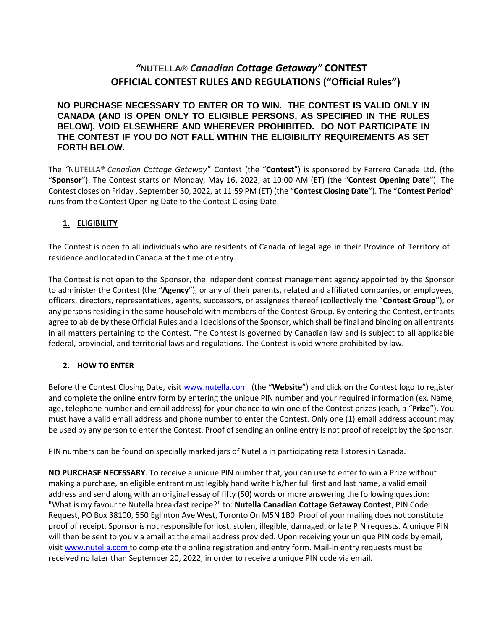# *"***NUTELLA**® *Canadian Cottage Getaway"* **CONTEST OFFICIAL CONTEST RULES AND REGULATIONS ("Official Rules")**

### **NO PURCHASE NECESSARY TO ENTER OR TO WIN. THE CONTEST IS VALID ONLY IN CANADA (AND IS OPEN ONLY TO ELIGIBLE PERSONS, AS SPECIFIED IN THE RULES BELOW). VOID ELSEWHERE AND WHEREVER PROHIBITED. DO NOT PARTICIPATE IN THE CONTEST IF YOU DO NOT FALL WITHIN THE ELIGIBILITY REQUIREMENTS AS SET FORTH BELOW.**

The *"*NUTELLA® *Canadian Cottage Getaway"* Contest (the "**Contest**") is sponsored by Ferrero Canada Ltd. (the "**Sponsor**"). The Contest starts on Monday, May 16, 2022, at 10:00 AM (ET) (the "**Contest Opening Date**"). The Contest closes on Friday , September 30, 2022, at 11:59 PM (ET) (the "**Contest Closing Date**"). The "**Contest Period**" runs from the Contest Opening Date to the Contest Closing Date.

### **1. ELIGIBILITY**

The Contest is open to all individuals who are residents of Canada of legal age in their Province of Territory of residence and located in Canada at the time of entry.

The Contest is not open to the Sponsor, the independent contest management agency appointed by the Sponsor to administer the Contest (the "**Agency**"), or any of their parents, related and affiliated companies, or employees, officers, directors, representatives, agents, successors, or assignees thereof (collectively the "**Contest Group**"), or any persons residing in the same household with members of the Contest Group. By entering the Contest, entrants agree to abide by these Official Rules and all decisions of the Sponsor, which shall be final and binding on all entrants in all matters pertaining to the Contest. The Contest is governed by Canadian law and is subject to all applicable federal, provincial, and territorial laws and regulations. The Contest is void where prohibited by law.

## **2. HOW TO ENTER**

Before the Contest Closing Date, visit [www.nutella.com](http://www.nutella.ca/) (the "**Website**") and click on the Contest logo to register and complete the online entry form by entering the unique PIN number and your required information (ex. Name, age, telephone number and email address) for your chance to win one of the Contest prizes (each, a "**Prize**"). You must have a valid email address and phone number to enter the Contest. Only one (1) email address account may be used by any person to enter the Contest. Proof of sending an online entry is not proof of receipt by the Sponsor.

PIN numbers can be found on specially marked jars of Nutella in participating retail stores in Canada.

**NO PURCHASE NECESSARY**. To receive a unique PIN number that, you can use to enter to win a Prize without making a purchase, an eligible entrant must legibly hand write his/her full first and last name, a valid email address and send along with an original essay of fifty (50) words or more answering the following question: "What is my favourite Nutella breakfast recipe?" to: **Nutella Canadian Cottage Getaway Contest**, PIN Code Request, PO Box 38100, 550 Eglinton Ave West, Toronto On M5N 1B0. Proof of your mailing does not constitute proof of receipt. Sponsor is not responsible for lost, stolen, illegible, damaged, or late PIN requests. A unique PIN will then be sent to you via email at the email address provided. Upon receiving your unique PIN code by email, visit www.nutella.com to complete the online registration and entry form. Mail-in entry requests must be received no later than September 20, 2022, in order to receive a unique PIN code via email.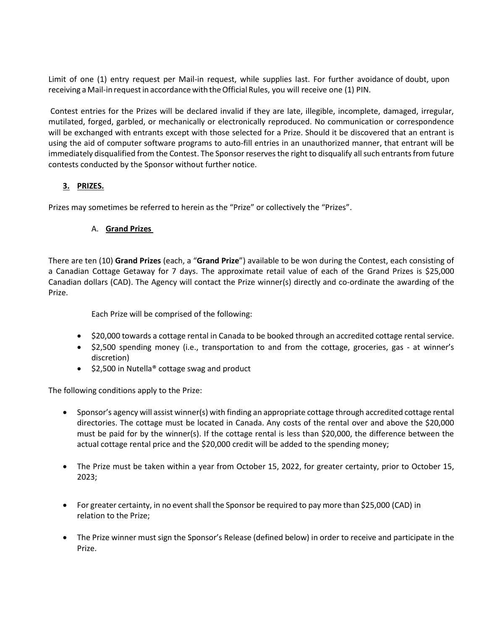Limit of one (1) entry request per Mail-in request, while supplies last. For further avoidance of doubt, upon receiving a Mail-in request in accordance with the Official Rules, you will receive one (1) PIN.

Contest entries for the Prizes will be declared invalid if they are late, illegible, incomplete, damaged, irregular, mutilated, forged, garbled, or mechanically or electronically reproduced. No communication or correspondence will be exchanged with entrants except with those selected for a Prize. Should it be discovered that an entrant is using the aid of computer software programs to auto-fill entries in an unauthorized manner, that entrant will be immediately disqualified from the Contest. The Sponsor reserves the right to disqualify all such entrants from future contests conducted by the Sponsor without further notice.

### **3. PRIZES.**

Prizes may sometimes be referred to herein as the "Prize" or collectively the "Prizes".

### A. **Grand Prizes**

There are ten (10) **Grand Prizes** (each, a "**Grand Prize**") available to be won during the Contest, each consisting of a Canadian Cottage Getaway for 7 days. The approximate retail value of each of the Grand Prizes is \$25,000 Canadian dollars (CAD). The Agency will contact the Prize winner(s) directly and co-ordinate the awarding of the Prize.

Each Prize will be comprised of the following:

- \$20,000 towards a cottage rental in Canada to be booked through an accredited cottage rental service.
- \$2,500 spending money (i.e., transportation to and from the cottage, groceries, gas at winner's discretion)
- \$2,500 in Nutella® cottage swag and product

The following conditions apply to the Prize:

- Sponsor's agency will assist winner(s) with finding an appropriate cottage through accredited cottage rental directories. The cottage must be located in Canada. Any costs of the rental over and above the \$20,000 must be paid for by the winner(s). If the cottage rental is less than \$20,000, the difference between the actual cottage rental price and the \$20,000 credit will be added to the spending money;
- The Prize must be taken within a year from October 15, 2022, for greater certainty, prior to October 15, 2023;
- For greater certainty, in no event shall the Sponsor be required to pay more than \$25,000 (CAD) in relation to the Prize;
- The Prize winner must sign the Sponsor's Release (defined below) in order to receive and participate in the Prize.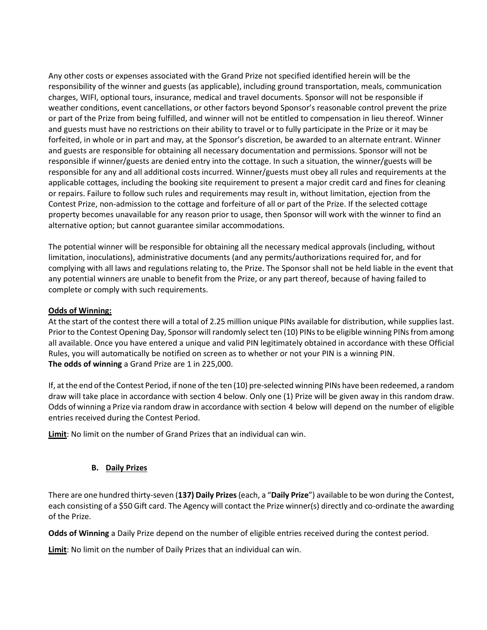Any other costs or expenses associated with the Grand Prize not specified identified herein will be the responsibility of the winner and guests (as applicable), including ground transportation, meals, communication charges, WIFI, optional tours, insurance, medical and travel documents. Sponsor will not be responsible if weather conditions, event cancellations, or other factors beyond Sponsor's reasonable control prevent the prize or part of the Prize from being fulfilled, and winner will not be entitled to compensation in lieu thereof. Winner and guests must have no restrictions on their ability to travel or to fully participate in the Prize or it may be forfeited, in whole or in part and may, at the Sponsor's discretion, be awarded to an alternate entrant. Winner and guests are responsible for obtaining all necessary documentation and permissions. Sponsor will not be responsible if winner/guests are denied entry into the cottage. In such a situation, the winner/guests will be responsible for any and all additional costs incurred. Winner/guests must obey all rules and requirements at the applicable cottages, including the booking site requirement to present a major credit card and fines for cleaning or repairs. Failure to follow such rules and requirements may result in, without limitation, ejection from the Contest Prize, non-admission to the cottage and forfeiture of all or part of the Prize. If the selected cottage property becomes unavailable for any reason prior to usage, then Sponsor will work with the winner to find an alternative option; but cannot guarantee similar accommodations.

The potential winner will be responsible for obtaining all the necessary medical approvals (including, without limitation, inoculations), administrative documents (and any permits/authorizations required for, and for complying with all laws and regulations relating to, the Prize. The Sponsor shall not be held liable in the event that any potential winners are unable to benefit from the Prize, or any part thereof, because of having failed to complete or comply with such requirements.

#### **Odds of Winning:**

At the start of the contest there will a total of 2.25 million unique PINs available for distribution, while supplies last. Prior to the Contest Opening Day, Sponsor will randomly select ten (10) PINs to be eligible winning PINs from among all available. Once you have entered a unique and valid PIN legitimately obtained in accordance with these Official Rules, you will automatically be notified on screen as to whether or not your PIN is a winning PIN. **The odds of winning** a Grand Prize are 1 in 225,000.

If, at the end of the Contest Period, if none of the ten (10) pre-selected winning PINs have been redeemed, a random draw will take place in accordance with section 4 below. Only one (1) Prize will be given away in this random draw. Odds of winning a Prize via random draw in accordance with section 4 below will depend on the number of eligible entries received during the Contest Period.

**Limit**: No limit on the number of Grand Prizes that an individual can win.

### **B. Daily Prizes**

There are one hundred thirty-seven (**137) Daily Prizes**(each, a "**Daily Prize**") available to be won during the Contest, each consisting of a \$50 Gift card. The Agency will contact the Prize winner(s) directly and co-ordinate the awarding of the Prize.

**Odds of Winning** a Daily Prize depend on the number of eligible entries received during the contest period.

**Limit**: No limit on the number of Daily Prizes that an individual can win.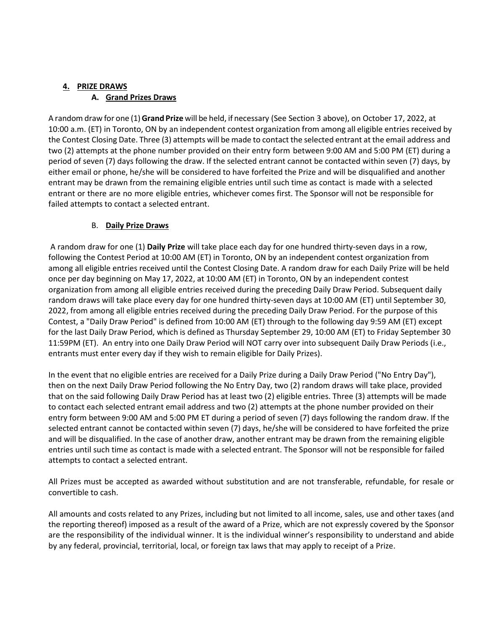# **4. PRIZE DRAWS A. Grand Prizes Draws**

A random draw for one (1)**Grand Prize** will be held, if necessary (See Section 3 above), on October 17, 2022, at 10:00 a.m. (ET) in Toronto, ON by an independent contest organization from among all eligible entries received by the Contest Closing Date. Three (3) attempts will be made to contact the selected entrant at the email address and two (2) attempts at the phone number provided on their entry form between 9:00 AM and 5:00 PM (ET) during a period of seven (7) days following the draw. If the selected entrant cannot be contacted within seven (7) days, by either email or phone, he/she will be considered to have forfeited the Prize and will be disqualified and another entrant may be drawn from the remaining eligible entries until such time as contact is made with a selected entrant or there are no more eligible entries, whichever comes first. The Sponsor will not be responsible for failed attempts to contact a selected entrant.

### B. **Daily Prize Draws**

A random draw for one (1) **Daily Prize** will take place each day for one hundred thirty-seven days in a row, following the Contest Period at 10:00 AM (ET) in Toronto, ON by an independent contest organization from among all eligible entries received until the Contest Closing Date. A random draw for each Daily Prize will be held once per day beginning on May 17, 2022, at 10:00 AM (ET) in Toronto, ON by an independent contest organization from among all eligible entries received during the preceding Daily Draw Period. Subsequent daily random draws will take place every day for one hundred thirty-seven days at 10:00 AM (ET) until September 30, 2022, from among all eligible entries received during the preceding Daily Draw Period. For the purpose of this Contest, a "Daily Draw Period" is defined from 10:00 AM (ET) through to the following day 9:59 AM (ET) except for the last Daily Draw Period, which is defined as Thursday September 29, 10:00 AM (ET) to Friday September 30 11:59PM (ET). An entry into one Daily Draw Period will NOT carry over into subsequent Daily Draw Periods (i.e., entrants must enter every day if they wish to remain eligible for Daily Prizes).

In the event that no eligible entries are received for a Daily Prize during a Daily Draw Period ("No Entry Day"), then on the next Daily Draw Period following the No Entry Day, two (2) random draws will take place, provided that on the said following Daily Draw Period has at least two (2) eligible entries. Three (3) attempts will be made to contact each selected entrant email address and two (2) attempts at the phone number provided on their entry form between 9:00 AM and 5:00 PM ET during a period of seven (7) days following the random draw. If the selected entrant cannot be contacted within seven (7) days, he/she will be considered to have forfeited the prize and will be disqualified. In the case of another draw, another entrant may be drawn from the remaining eligible entries until such time as contact is made with a selected entrant. The Sponsor will not be responsible for failed attempts to contact a selected entrant.

All Prizes must be accepted as awarded without substitution and are not transferable, refundable, for resale or convertible to cash.

All amounts and costs related to any Prizes, including but not limited to all income, sales, use and other taxes (and the reporting thereof) imposed as a result of the award of a Prize, which are not expressly covered by the Sponsor are the responsibility of the individual winner. It is the individual winner's responsibility to understand and abide by any federal, provincial, territorial, local, or foreign tax laws that may apply to receipt of a Prize.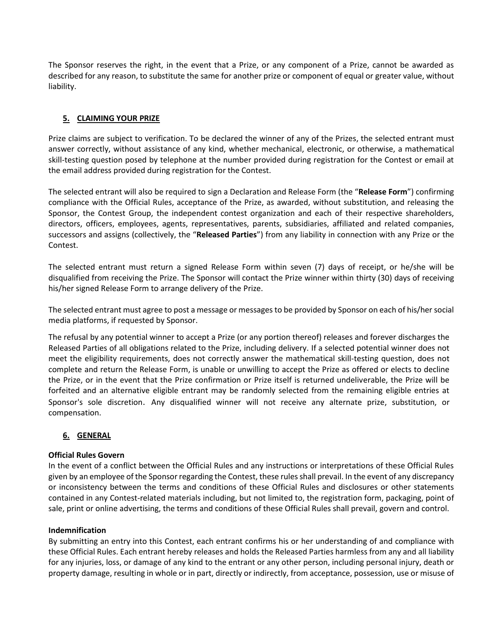The Sponsor reserves the right, in the event that a Prize, or any component of a Prize, cannot be awarded as described for any reason, to substitute the same for another prize or component of equal or greater value, without liability.

### **5. CLAIMING YOUR PRIZE**

Prize claims are subject to verification. To be declared the winner of any of the Prizes, the selected entrant must answer correctly, without assistance of any kind, whether mechanical, electronic, or otherwise, a mathematical skill-testing question posed by telephone at the number provided during registration for the Contest or email at the email address provided during registration for the Contest.

The selected entrant will also be required to sign a Declaration and Release Form (the "**Release Form**") confirming compliance with the Official Rules, acceptance of the Prize, as awarded, without substitution, and releasing the Sponsor, the Contest Group, the independent contest organization and each of their respective shareholders, directors, officers, employees, agents, representatives, parents, subsidiaries, affiliated and related companies, successors and assigns (collectively, the "**Released Parties**") from any liability in connection with any Prize or the Contest.

The selected entrant must return a signed Release Form within seven (7) days of receipt, or he/she will be disqualified from receiving the Prize. The Sponsor will contact the Prize winner within thirty (30) days of receiving his/her signed Release Form to arrange delivery of the Prize.

The selected entrant must agree to post a message or messages to be provided by Sponsor on each of his/her social media platforms, if requested by Sponsor.

The refusal by any potential winner to accept a Prize (or any portion thereof) releases and forever discharges the Released Parties of all obligations related to the Prize, including delivery. If a selected potential winner does not meet the eligibility requirements, does not correctly answer the mathematical skill-testing question, does not complete and return the Release Form, is unable or unwilling to accept the Prize as offered or elects to decline the Prize, or in the event that the Prize confirmation or Prize itself is returned undeliverable, the Prize will be forfeited and an alternative eligible entrant may be randomly selected from the remaining eligible entries at Sponsor's sole discretion. Any disqualified winner will not receive any alternate prize, substitution, or compensation.

### **6. GENERAL**

#### **Official Rules Govern**

In the event of a conflict between the Official Rules and any instructions or interpretations of these Official Rules given by an employee of the Sponsor regarding the Contest, these rules shall prevail. In the event of any discrepancy or inconsistency between the terms and conditions of these Official Rules and disclosures or other statements contained in any Contest-related materials including, but not limited to, the registration form, packaging, point of sale, print or online advertising, the terms and conditions of these Official Rules shall prevail, govern and control.

#### **Indemnification**

By submitting an entry into this Contest, each entrant confirms his or her understanding of and compliance with these Official Rules. Each entrant hereby releases and holds the Released Parties harmless from any and all liability for any injuries, loss, or damage of any kind to the entrant or any other person, including personal injury, death or property damage, resulting in whole or in part, directly or indirectly, from acceptance, possession, use or misuse of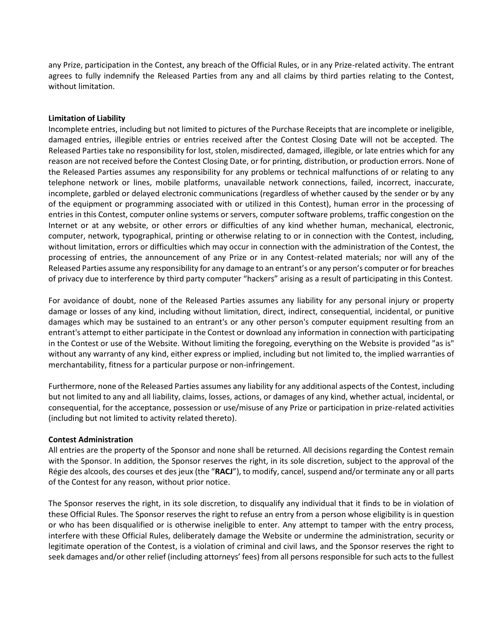any Prize, participation in the Contest, any breach of the Official Rules, or in any Prize-related activity. The entrant agrees to fully indemnify the Released Parties from any and all claims by third parties relating to the Contest, without limitation.

#### **Limitation of Liability**

Incomplete entries, including but not limited to pictures of the Purchase Receipts that are incomplete or ineligible, damaged entries, illegible entries or entries received after the Contest Closing Date will not be accepted. The Released Parties take no responsibility for lost, stolen, misdirected, damaged, illegible, or late entries which for any reason are not received before the Contest Closing Date, or for printing, distribution, or production errors. None of the Released Parties assumes any responsibility for any problems or technical malfunctions of or relating to any telephone network or lines, mobile platforms, unavailable network connections, failed, incorrect, inaccurate, incomplete, garbled or delayed electronic communications (regardless of whether caused by the sender or by any of the equipment or programming associated with or utilized in this Contest), human error in the processing of entries in this Contest, computer online systems or servers, computer software problems, traffic congestion on the Internet or at any website, or other errors or difficulties of any kind whether human, mechanical, electronic, computer, network, typographical, printing or otherwise relating to or in connection with the Contest, including, without limitation, errors or difficulties which may occur in connection with the administration of the Contest, the processing of entries, the announcement of any Prize or in any Contest-related materials; nor will any of the Released Parties assume any responsibility for any damage to an entrant's or any person's computer or for breaches of privacy due to interference by third party computer "hackers" arising as a result of participating in this Contest.

For avoidance of doubt, none of the Released Parties assumes any liability for any personal injury or property damage or losses of any kind, including without limitation, direct, indirect, consequential, incidental, or punitive damages which may be sustained to an entrant's or any other person's computer equipment resulting from an entrant's attempt to either participate in the Contest or download any information in connection with participating in the Contest or use of the Website. Without limiting the foregoing, everything on the Website is provided "as is" without any warranty of any kind, either express or implied, including but not limited to, the implied warranties of merchantability, fitness for a particular purpose or non-infringement.

Furthermore, none of the Released Parties assumes any liability for any additional aspects of the Contest, including but not limited to any and all liability, claims, losses, actions, or damages of any kind, whether actual, incidental, or consequential, for the acceptance, possession or use/misuse of any Prize or participation in prize-related activities (including but not limited to activity related thereto).

#### **Contest Administration**

All entries are the property of the Sponsor and none shall be returned. All decisions regarding the Contest remain with the Sponsor. In addition, the Sponsor reserves the right, in its sole discretion, subject to the approval of the Régie des alcools, des courses et des jeux (the "**RACJ**"), to modify, cancel, suspend and/or terminate any or all parts of the Contest for any reason, without prior notice.

The Sponsor reserves the right, in its sole discretion, to disqualify any individual that it finds to be in violation of these Official Rules. The Sponsor reserves the right to refuse an entry from a person whose eligibility is in question or who has been disqualified or is otherwise ineligible to enter. Any attempt to tamper with the entry process, interfere with these Official Rules, deliberately damage the Website or undermine the administration, security or legitimate operation of the Contest, is a violation of criminal and civil laws, and the Sponsor reserves the right to seek damages and/or other relief (including attorneys' fees) from all persons responsible for such acts to the fullest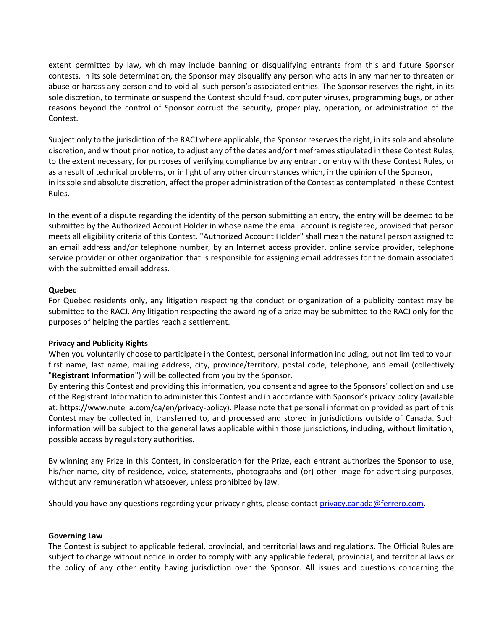extent permitted by law, which may include banning or disqualifying entrants from this and future Sponsor contests. In its sole determination, the Sponsor may disqualify any person who acts in any manner to threaten or abuse or harass any person and to void all such person's associated entries. The Sponsor reserves the right, in its sole discretion, to terminate or suspend the Contest should fraud, computer viruses, programming bugs, or other reasons beyond the control of Sponsor corrupt the security, proper play, operation, or administration of the Contest.

Subject only to the jurisdiction of the RACJ where applicable, the Sponsor reserves the right, in its sole and absolute discretion, and without prior notice, to adjust any of the dates and/or timeframes stipulated in these Contest Rules, to the extent necessary, for purposes of verifying compliance by any entrant or entry with these Contest Rules, or as a result of technical problems, or in light of any other circumstances which, in the opinion of the Sponsor, in its sole and absolute discretion, affect the proper administration of the Contest as contemplated in these Contest Rules.

In the event of a dispute regarding the identity of the person submitting an entry, the entry will be deemed to be submitted by the Authorized Account Holder in whose name the email account is registered, provided that person meets all eligibility criteria of this Contest. "Authorized Account Holder" shall mean the natural person assigned to an email address and/or telephone number, by an Internet access provider, online service provider, telephone service provider or other organization that is responsible for assigning email addresses for the domain associated with the submitted email address.

#### **Quebec**

For Quebec residents only, any litigation respecting the conduct or organization of a publicity contest may be submitted to the RACJ. Any litigation respecting the awarding of a prize may be submitted to the RACJ only for the purposes of helping the parties reach a settlement.

#### **Privacy and Publicity Rights**

When you voluntarily choose to participate in the Contest, personal information including, but not limited to your: first name, last name, mailing address, city, province/territory, postal code, telephone, and email (collectively "**Registrant Information**") will be collected from you by the Sponsor.

By entering this Contest and providing this information, you consent and agree to the Sponsors' collection and use of the Registrant Information to administer this Contest and in accordance with Sponsor's privacy policy (available at: https://www.nutella.com/ca/en/privacy-policy). Please note that personal information provided as part of this Contest may be collected in, transferred to, and processed and stored in jurisdictions outside of Canada. Such information will be subject to the general laws applicable within those jurisdictions, including, without limitation, possible access by regulatory authorities.

By winning any Prize in this Contest, in consideration for the Prize, each entrant authorizes the Sponsor to use, his/her name, city of residence, voice, statements, photographs and (or) other image for advertising purposes, without any remuneration whatsoever, unless prohibited by law.

Should you have any questions regarding your privacy rights, please contact [privacy.canada@ferrero.com.](mailto:privacy.canada@ferrero.com)

#### **Governing Law**

The Contest is subject to applicable federal, provincial, and territorial laws and regulations. The Official Rules are subject to change without notice in order to comply with any applicable federal, provincial, and territorial laws or the policy of any other entity having jurisdiction over the Sponsor. All issues and questions concerning the